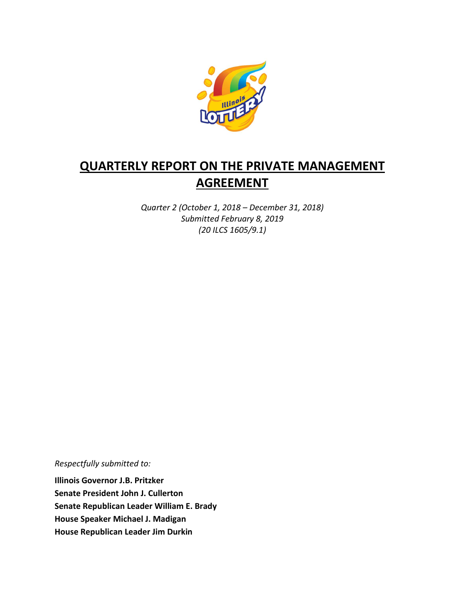

# **QUARTERLY REPORT ON THE PRIVATE MANAGEMENT AGREEMENT**

*Quarter 2 (October 1, 2018 – December 31, 2018) Submitted February 8, 2019 (20 ILCS 1605/9.1)*

*Respectfully submitted to:* 

**Illinois Governor J.B. Pritzker Senate President John J. Cullerton Senate Republican Leader William E. Brady House Speaker Michael J. Madigan House Republican Leader Jim Durkin**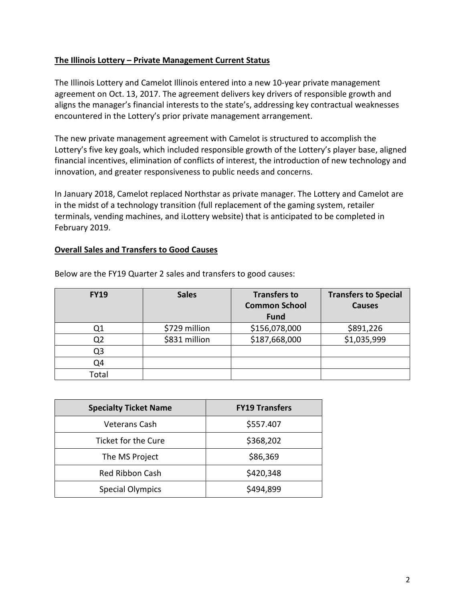#### **The Illinois Lottery – Private Management Current Status**

The Illinois Lottery and Camelot Illinois entered into a new 10-year private management agreement on Oct. 13, 2017. The agreement delivers key drivers of responsible growth and aligns the manager's financial interests to the state's, addressing key contractual weaknesses encountered in the Lottery's prior private management arrangement.

The new private management agreement with Camelot is structured to accomplish the Lottery's five key goals, which included responsible growth of the Lottery's player base, aligned financial incentives, elimination of conflicts of interest, the introduction of new technology and innovation, and greater responsiveness to public needs and concerns.

In January 2018, Camelot replaced Northstar as private manager. The Lottery and Camelot are in the midst of a technology transition (full replacement of the gaming system, retailer terminals, vending machines, and iLottery website) that is anticipated to be completed in February 2019.

### **Overall Sales and Transfers to Good Causes**

| <b>FY19</b> | <b>Sales</b>  | <b>Transfers to</b><br><b>Common School</b><br><b>Fund</b> | <b>Transfers to Special</b><br><b>Causes</b> |
|-------------|---------------|------------------------------------------------------------|----------------------------------------------|
|             | \$729 million | \$156,078,000                                              | \$891,226                                    |
| Q2          | \$831 million | \$187,668,000                                              | \$1,035,999                                  |
| Q3          |               |                                                            |                                              |
| Q4          |               |                                                            |                                              |
| Total       |               |                                                            |                                              |

Below are the FY19 Quarter 2 sales and transfers to good causes:

| <b>Specialty Ticket Name</b> | <b>FY19 Transfers</b> |  |
|------------------------------|-----------------------|--|
| Veterans Cash                | \$557.407             |  |
| Ticket for the Cure          | \$368,202             |  |
| The MS Project               | \$86,369              |  |
| <b>Red Ribbon Cash</b>       | \$420,348             |  |
| <b>Special Olympics</b>      | \$494,899             |  |